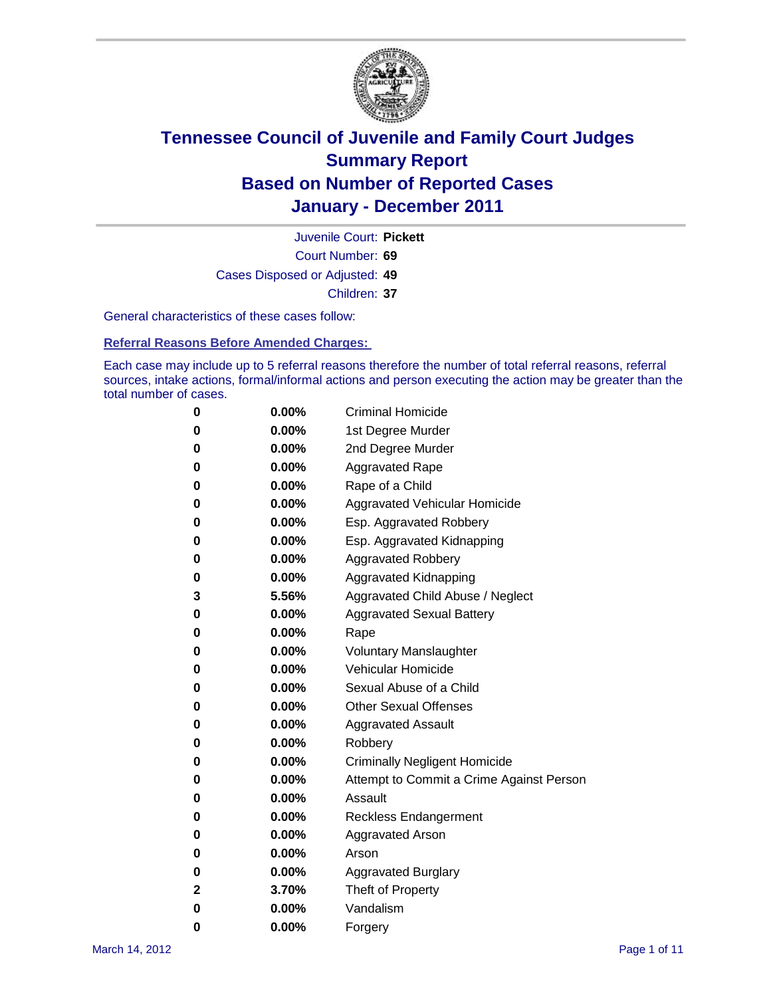

Court Number: **69** Juvenile Court: **Pickett** Cases Disposed or Adjusted: **49** Children: **37**

General characteristics of these cases follow:

**Referral Reasons Before Amended Charges:** 

Each case may include up to 5 referral reasons therefore the number of total referral reasons, referral sources, intake actions, formal/informal actions and person executing the action may be greater than the total number of cases.

| 0 | $0.00\%$ | <b>Criminal Homicide</b>                 |
|---|----------|------------------------------------------|
| 0 | $0.00\%$ | 1st Degree Murder                        |
| 0 | $0.00\%$ | 2nd Degree Murder                        |
| 0 | $0.00\%$ | <b>Aggravated Rape</b>                   |
| 0 | $0.00\%$ | Rape of a Child                          |
| 0 | $0.00\%$ | Aggravated Vehicular Homicide            |
| 0 | $0.00\%$ | Esp. Aggravated Robbery                  |
| 0 | $0.00\%$ | Esp. Aggravated Kidnapping               |
| 0 | $0.00\%$ | <b>Aggravated Robbery</b>                |
| 0 | $0.00\%$ | Aggravated Kidnapping                    |
| 3 | 5.56%    | Aggravated Child Abuse / Neglect         |
| 0 | 0.00%    | <b>Aggravated Sexual Battery</b>         |
| 0 | $0.00\%$ | Rape                                     |
| 0 | $0.00\%$ | <b>Voluntary Manslaughter</b>            |
| 0 | $0.00\%$ | Vehicular Homicide                       |
| 0 | $0.00\%$ | Sexual Abuse of a Child                  |
| 0 | $0.00\%$ | <b>Other Sexual Offenses</b>             |
| 0 | $0.00\%$ | <b>Aggravated Assault</b>                |
| 0 | 0.00%    | Robbery                                  |
| 0 | $0.00\%$ | <b>Criminally Negligent Homicide</b>     |
| 0 | $0.00\%$ | Attempt to Commit a Crime Against Person |
| 0 | 0.00%    | Assault                                  |
| 0 | $0.00\%$ | <b>Reckless Endangerment</b>             |
| 0 | $0.00\%$ | <b>Aggravated Arson</b>                  |
| 0 | $0.00\%$ | Arson                                    |
| 0 | $0.00\%$ | <b>Aggravated Burglary</b>               |
| 2 | 3.70%    | Theft of Property                        |
| 0 | 0.00%    | Vandalism                                |
| 0 | 0.00%    | Forgery                                  |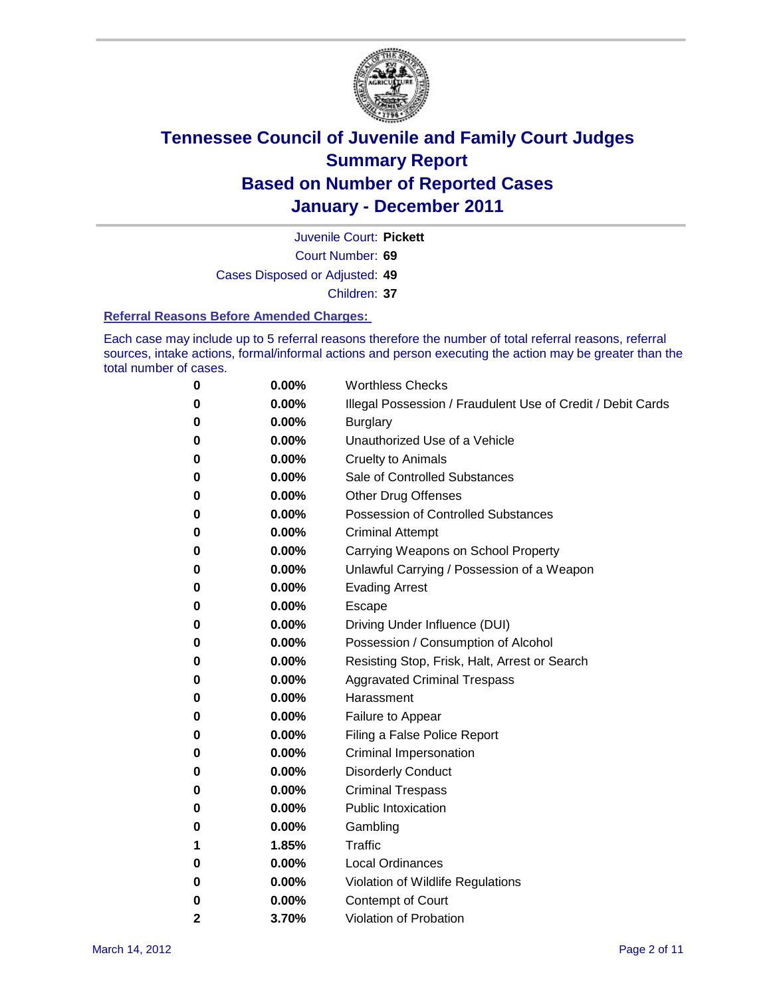

Juvenile Court: **Pickett**

Court Number: **69**

Cases Disposed or Adjusted: **49**

Children: **37**

#### **Referral Reasons Before Amended Charges:**

Each case may include up to 5 referral reasons therefore the number of total referral reasons, referral sources, intake actions, formal/informal actions and person executing the action may be greater than the total number of cases.

| 0            | 0.00%    | <b>Worthless Checks</b>                                     |
|--------------|----------|-------------------------------------------------------------|
| 0            | 0.00%    | Illegal Possession / Fraudulent Use of Credit / Debit Cards |
| 0            | 0.00%    | <b>Burglary</b>                                             |
| 0            | $0.00\%$ | Unauthorized Use of a Vehicle                               |
| 0            | $0.00\%$ | <b>Cruelty to Animals</b>                                   |
| 0            | $0.00\%$ | Sale of Controlled Substances                               |
| 0            | $0.00\%$ | <b>Other Drug Offenses</b>                                  |
| 0            | 0.00%    | <b>Possession of Controlled Substances</b>                  |
| 0            | 0.00%    | <b>Criminal Attempt</b>                                     |
| 0            | 0.00%    | Carrying Weapons on School Property                         |
| 0            | 0.00%    | Unlawful Carrying / Possession of a Weapon                  |
| 0            | $0.00\%$ | <b>Evading Arrest</b>                                       |
| 0            | $0.00\%$ | Escape                                                      |
| 0            | $0.00\%$ | Driving Under Influence (DUI)                               |
| 0            | $0.00\%$ | Possession / Consumption of Alcohol                         |
| 0            | $0.00\%$ | Resisting Stop, Frisk, Halt, Arrest or Search               |
| 0            | $0.00\%$ | <b>Aggravated Criminal Trespass</b>                         |
| 0            | $0.00\%$ | Harassment                                                  |
| 0            | 0.00%    | Failure to Appear                                           |
| 0            | 0.00%    | Filing a False Police Report                                |
| 0            | 0.00%    | Criminal Impersonation                                      |
| 0            | 0.00%    | <b>Disorderly Conduct</b>                                   |
| 0            | 0.00%    | <b>Criminal Trespass</b>                                    |
| 0            | 0.00%    | <b>Public Intoxication</b>                                  |
| 0            | $0.00\%$ | Gambling                                                    |
| 1            | 1.85%    | Traffic                                                     |
| 0            | $0.00\%$ | <b>Local Ordinances</b>                                     |
| 0            | 0.00%    | Violation of Wildlife Regulations                           |
| 0            | $0.00\%$ | Contempt of Court                                           |
| $\mathbf{2}$ | 3.70%    | Violation of Probation                                      |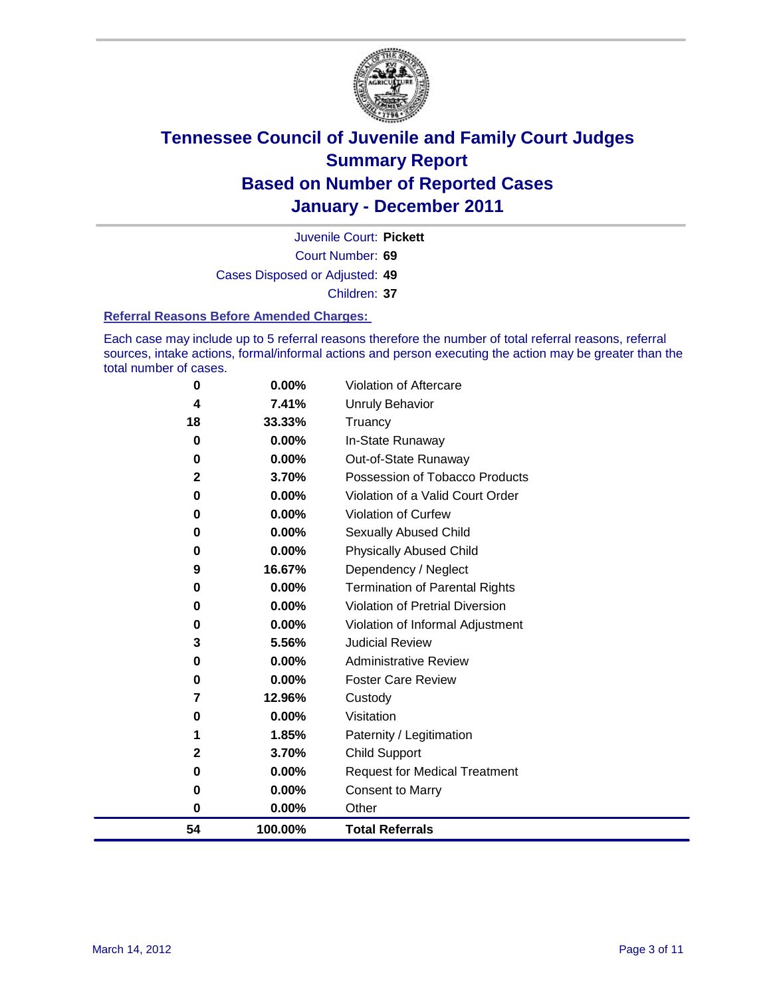

Court Number: **69** Juvenile Court: **Pickett** Cases Disposed or Adjusted: **49** Children: **37**

#### **Referral Reasons Before Amended Charges:**

Each case may include up to 5 referral reasons therefore the number of total referral reasons, referral sources, intake actions, formal/informal actions and person executing the action may be greater than the total number of cases.

| 54           | 100.00%  | <b>Total Referrals</b>                 |
|--------------|----------|----------------------------------------|
| 0            | 0.00%    | Other                                  |
| 0            | 0.00%    | <b>Consent to Marry</b>                |
| 0            | 0.00%    | <b>Request for Medical Treatment</b>   |
| $\mathbf{2}$ | 3.70%    | <b>Child Support</b>                   |
|              | 1.85%    | Paternity / Legitimation               |
| 0            | 0.00%    | Visitation                             |
| 7            | 12.96%   | Custody                                |
| 0            | 0.00%    | <b>Foster Care Review</b>              |
| 0            | 0.00%    | <b>Administrative Review</b>           |
| 3            | 5.56%    | <b>Judicial Review</b>                 |
| 0            | 0.00%    | Violation of Informal Adjustment       |
| 0            | $0.00\%$ | <b>Violation of Pretrial Diversion</b> |
| 0            | 0.00%    | Termination of Parental Rights         |
| 9            | 16.67%   | Dependency / Neglect                   |
| 0            | 0.00%    | <b>Physically Abused Child</b>         |
| 0            | 0.00%    | <b>Sexually Abused Child</b>           |
| 0            | 0.00%    | Violation of Curfew                    |
| 0            | $0.00\%$ | Violation of a Valid Court Order       |
| 2            | 3.70%    | Possession of Tobacco Products         |
| 0            | 0.00%    | Out-of-State Runaway                   |
| 0            | 0.00%    | In-State Runaway                       |
| 18           | 33.33%   | Unruly Behavior<br>Truancy             |
| 4            | 7.41%    |                                        |
| 0            | $0.00\%$ | Violation of Aftercare                 |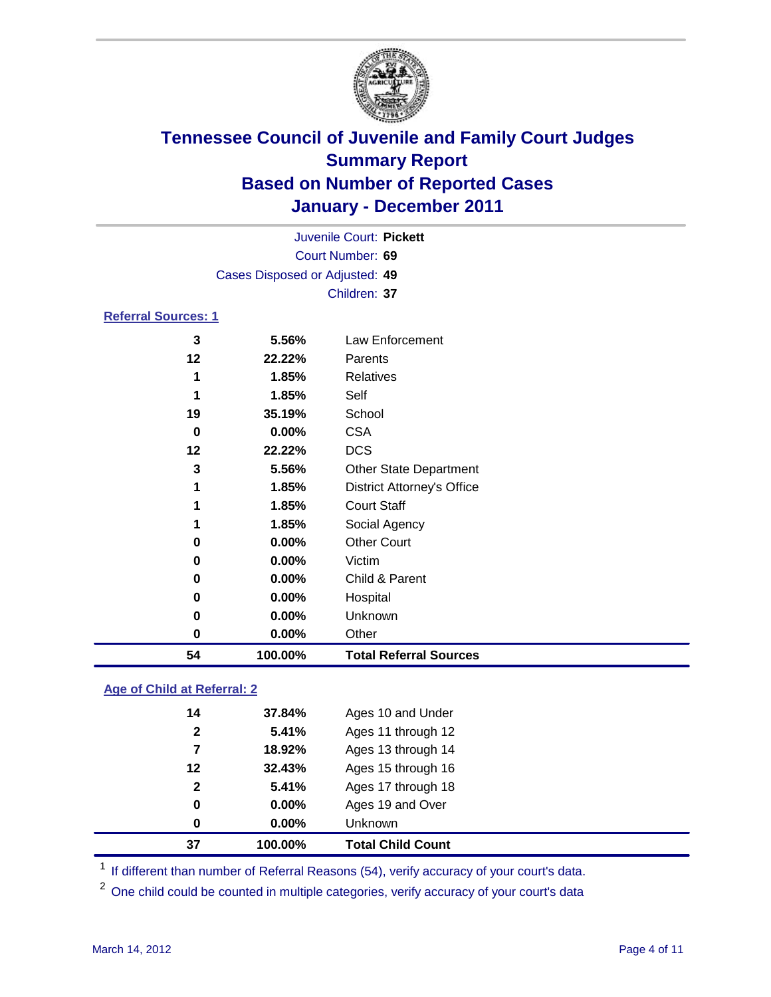

| 54                         | 100.00%                        | <b>Total Referral Sources</b>     |  |
|----------------------------|--------------------------------|-----------------------------------|--|
| 0                          | 0.00%                          | Other                             |  |
| 0                          | 0.00%                          | Unknown                           |  |
| 0                          | 0.00%                          | Hospital                          |  |
| 0                          | 0.00%                          | Child & Parent                    |  |
| 0                          | 0.00%                          | Victim                            |  |
| 0                          | 0.00%                          | <b>Other Court</b>                |  |
| 1                          | 1.85%                          | Social Agency                     |  |
| 1                          | 1.85%                          | <b>Court Staff</b>                |  |
| 1                          | 1.85%                          | <b>District Attorney's Office</b> |  |
| 3                          | 5.56%                          | <b>Other State Department</b>     |  |
| 12                         | 22.22%                         | <b>DCS</b>                        |  |
| 0                          | 0.00%                          | <b>CSA</b>                        |  |
| 19                         | 35.19%                         | School                            |  |
| 1                          | 1.85%                          | Self                              |  |
| 1                          | 1.85%                          | Relatives                         |  |
| 12                         | 22.22%                         | Parents                           |  |
| 3                          | 5.56%                          | Law Enforcement                   |  |
| <b>Referral Sources: 1</b> |                                |                                   |  |
|                            |                                | Children: 37                      |  |
|                            | Cases Disposed or Adjusted: 49 |                                   |  |
|                            | Court Number: 69               |                                   |  |
|                            | Juvenile Court: Pickett        |                                   |  |
|                            |                                |                                   |  |

### **Age of Child at Referral: 2**

| 0            | 0.00%  | Unknown            |
|--------------|--------|--------------------|
| 0            | 0.00%  | Ages 19 and Over   |
| $\mathbf{2}$ | 5.41%  | Ages 17 through 18 |
| 12           | 32.43% | Ages 15 through 16 |
| 7            | 18.92% | Ages 13 through 14 |
| $\mathbf{2}$ | 5.41%  | Ages 11 through 12 |
| 14           | 37.84% | Ages 10 and Under  |
|              |        |                    |

<sup>1</sup> If different than number of Referral Reasons (54), verify accuracy of your court's data.

<sup>2</sup> One child could be counted in multiple categories, verify accuracy of your court's data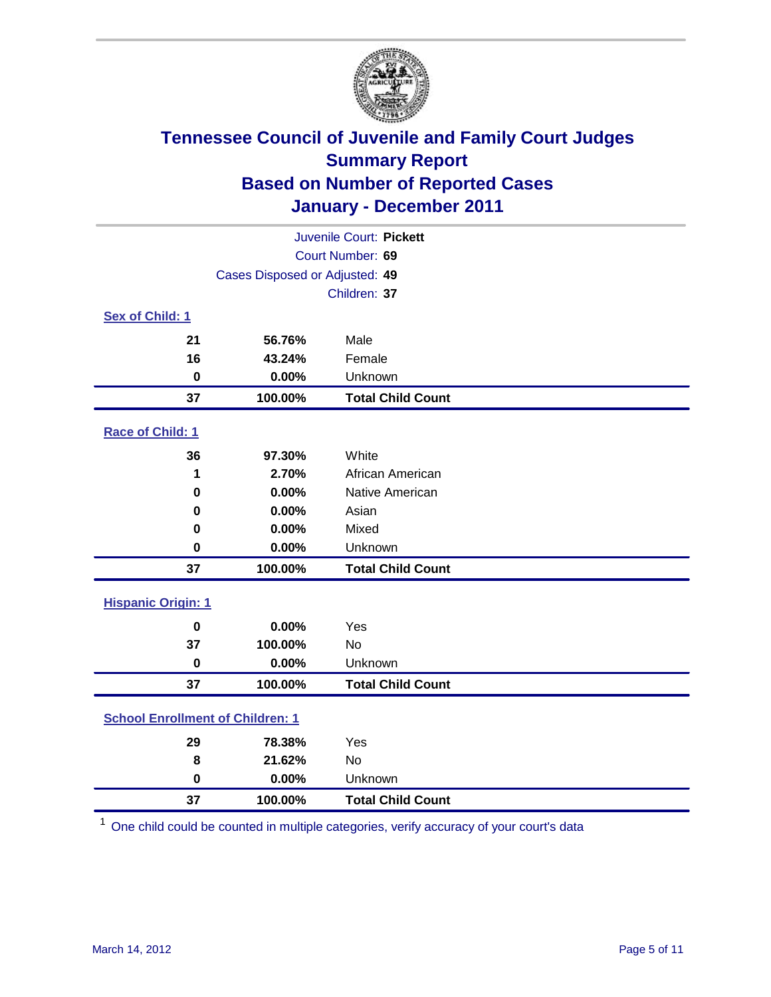

| Juvenile Court: Pickett                 |                                |                          |  |  |
|-----------------------------------------|--------------------------------|--------------------------|--|--|
|                                         | Court Number: 69               |                          |  |  |
|                                         | Cases Disposed or Adjusted: 49 |                          |  |  |
|                                         |                                | Children: 37             |  |  |
| Sex of Child: 1                         |                                |                          |  |  |
| 21                                      | 56.76%                         | Male                     |  |  |
| 16                                      | 43.24%                         | Female                   |  |  |
| $\mathbf 0$                             | 0.00%                          | Unknown                  |  |  |
| 37                                      | 100.00%                        | <b>Total Child Count</b> |  |  |
| Race of Child: 1                        |                                |                          |  |  |
| 36                                      | 97.30%                         | White                    |  |  |
| 1                                       | 2.70%                          | African American         |  |  |
| 0                                       | 0.00%                          | Native American          |  |  |
| 0                                       | 0.00%                          | Asian                    |  |  |
| 0                                       | 0.00%                          | Mixed                    |  |  |
| $\mathbf 0$                             | 0.00%                          | Unknown                  |  |  |
| 37                                      | 100.00%                        | <b>Total Child Count</b> |  |  |
| <b>Hispanic Origin: 1</b>               |                                |                          |  |  |
| $\mathbf 0$                             | 0.00%                          | Yes                      |  |  |
| 37                                      | 100.00%                        | No                       |  |  |
| $\mathbf 0$                             | 0.00%                          | Unknown                  |  |  |
| 37                                      | 100.00%                        | <b>Total Child Count</b> |  |  |
| <b>School Enrollment of Children: 1</b> |                                |                          |  |  |
| 29                                      | 78.38%                         | Yes                      |  |  |
| 8                                       | 21.62%                         | No                       |  |  |
| $\mathbf 0$                             | 0.00%                          | Unknown                  |  |  |
| 37                                      | 100.00%                        | <b>Total Child Count</b> |  |  |

One child could be counted in multiple categories, verify accuracy of your court's data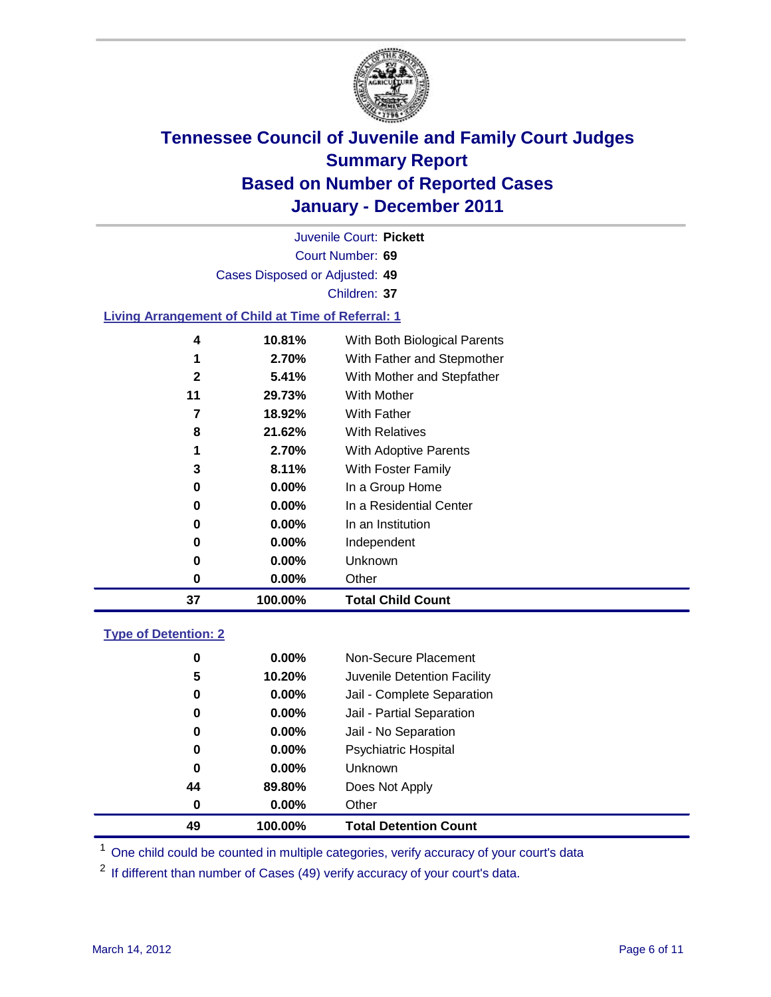

Court Number: **69** Juvenile Court: **Pickett** Cases Disposed or Adjusted: **49** Children: **37 Living Arrangement of Child at Time of Referral: 1 10.81%** With Both Biological Parents

| 37 | 100.00%  | <b>Total Child Count</b>     |
|----|----------|------------------------------|
| 0  | $0.00\%$ | Other                        |
| 0  | $0.00\%$ | Unknown                      |
| 0  | $0.00\%$ | Independent                  |
| 0  | $0.00\%$ | In an Institution            |
| 0  | $0.00\%$ | In a Residential Center      |
| 0  | $0.00\%$ | In a Group Home              |
| 3  | 8.11%    | With Foster Family           |
| 1  | 2.70%    | <b>With Adoptive Parents</b> |
| 8  | 21.62%   | <b>With Relatives</b>        |
| 7  | 18.92%   | <b>With Father</b>           |
| 11 | 29.73%   | With Mother                  |
| 2  | 5.41%    | With Mother and Stepfather   |
| 1  | 2.70%    | With Father and Stepmother   |
| 4  | 10.81%   | With Both Biological Parents |

### **Type of Detention: 2**

| 49 | 100.00%  | <b>Total Detention Count</b> |
|----|----------|------------------------------|
| 0  | 0.00%    | Other                        |
| 44 | 89.80%   | Does Not Apply               |
| 0  | $0.00\%$ | Unknown                      |
| 0  | $0.00\%$ | Psychiatric Hospital         |
| 0  | 0.00%    | Jail - No Separation         |
| 0  | $0.00\%$ | Jail - Partial Separation    |
| 0  | $0.00\%$ | Jail - Complete Separation   |
| 5  | 10.20%   | Juvenile Detention Facility  |
| 0  | $0.00\%$ | Non-Secure Placement         |
|    |          |                              |

<sup>1</sup> One child could be counted in multiple categories, verify accuracy of your court's data

<sup>2</sup> If different than number of Cases (49) verify accuracy of your court's data.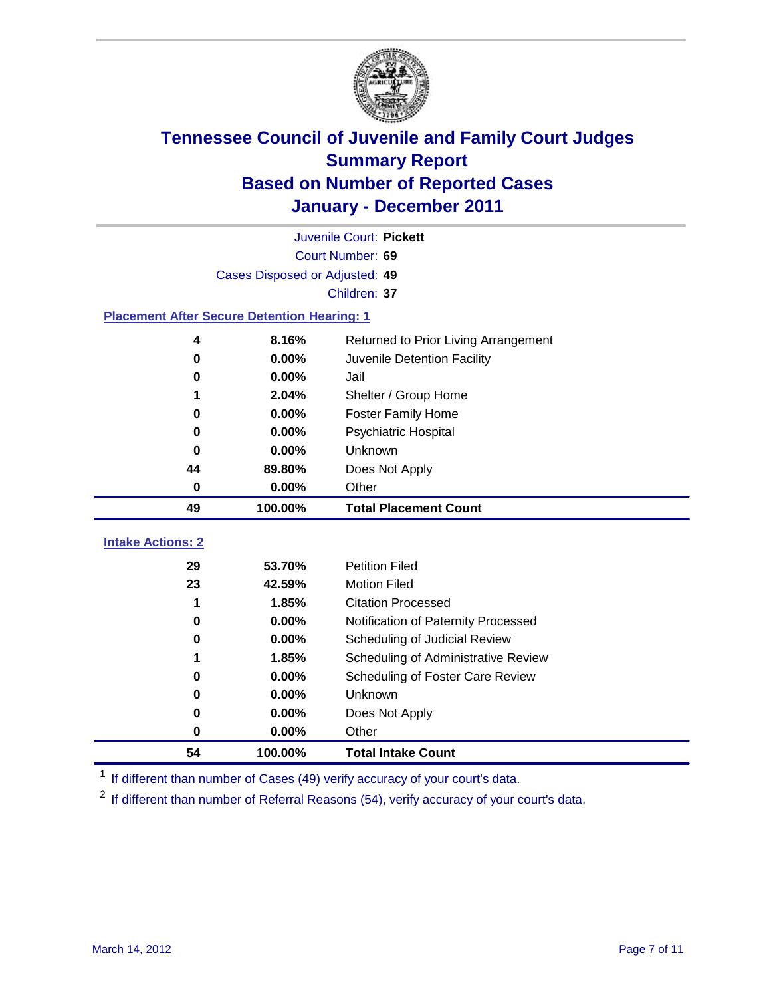

|                                                    | Juvenile Court: Pickett        |                                      |  |  |  |
|----------------------------------------------------|--------------------------------|--------------------------------------|--|--|--|
|                                                    | Court Number: 69               |                                      |  |  |  |
|                                                    | Cases Disposed or Adjusted: 49 |                                      |  |  |  |
|                                                    |                                | Children: 37                         |  |  |  |
| <b>Placement After Secure Detention Hearing: 1</b> |                                |                                      |  |  |  |
| 4                                                  | 8.16%                          | Returned to Prior Living Arrangement |  |  |  |
| $\bf{0}$                                           | 0.00%                          | Juvenile Detention Facility          |  |  |  |
| 0                                                  | 0.00%                          | Jail                                 |  |  |  |
| 1                                                  | 2.04%                          | Shelter / Group Home                 |  |  |  |
| 0                                                  | 0.00%                          | <b>Foster Family Home</b>            |  |  |  |
| $\bf{0}$                                           | 0.00%                          | Psychiatric Hospital                 |  |  |  |
| 0                                                  | 0.00%                          | Unknown                              |  |  |  |
| 44                                                 | 89.80%                         | Does Not Apply                       |  |  |  |
| $\bf{0}$                                           | 0.00%                          | Other                                |  |  |  |
| 49                                                 | 100.00%                        | <b>Total Placement Count</b>         |  |  |  |
| <b>Intake Actions: 2</b>                           |                                |                                      |  |  |  |
| 29                                                 | 53.70%                         | <b>Petition Filed</b>                |  |  |  |
| 23                                                 | 42.59%                         | <b>Motion Filed</b>                  |  |  |  |
| 1                                                  | 1.85%                          | <b>Citation Processed</b>            |  |  |  |
| 0                                                  | 0.00%                          | Notification of Paternity Processed  |  |  |  |
| $\mathbf 0$                                        | 0.00%                          | Scheduling of Judicial Review        |  |  |  |
| 1                                                  | 1.85%                          | Scheduling of Administrative Review  |  |  |  |
| 0                                                  | 0.00%                          | Scheduling of Foster Care Review     |  |  |  |
| 0                                                  | 0.00%                          | <b>Unknown</b>                       |  |  |  |
| 0                                                  | 0.00%                          | Does Not Apply                       |  |  |  |
| $\pmb{0}$                                          | 0.00%                          | Other                                |  |  |  |
| 54                                                 | 100.00%                        | <b>Total Intake Count</b>            |  |  |  |

<sup>1</sup> If different than number of Cases (49) verify accuracy of your court's data.

<sup>2</sup> If different than number of Referral Reasons (54), verify accuracy of your court's data.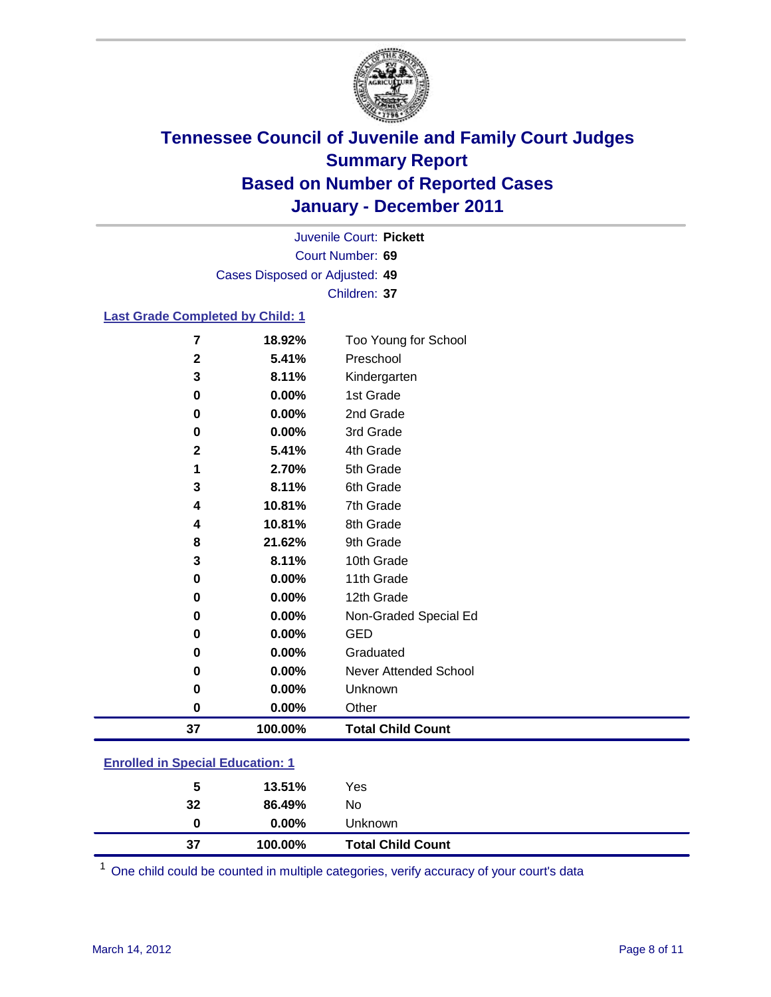

Court Number: **69** Juvenile Court: **Pickett** Cases Disposed or Adjusted: **49** Children: **37**

#### **Last Grade Completed by Child: 1**

| $\overline{7}$                          | 18.92%  | Too Young for School         |  |
|-----------------------------------------|---------|------------------------------|--|
| $\mathbf{2}$                            | 5.41%   | Preschool                    |  |
| 3                                       | 8.11%   | Kindergarten                 |  |
| 0                                       | 0.00%   | 1st Grade                    |  |
| 0                                       | 0.00%   | 2nd Grade                    |  |
| 0                                       | 0.00%   | 3rd Grade                    |  |
| $\mathbf{2}$                            | 5.41%   | 4th Grade                    |  |
| 1                                       | 2.70%   | 5th Grade                    |  |
| 3                                       | 8.11%   | 6th Grade                    |  |
| 4                                       | 10.81%  | 7th Grade                    |  |
| 4                                       | 10.81%  | 8th Grade                    |  |
| 8                                       | 21.62%  | 9th Grade                    |  |
| 3                                       | 8.11%   | 10th Grade                   |  |
| 0                                       | 0.00%   | 11th Grade                   |  |
| 0                                       | 0.00%   | 12th Grade                   |  |
| 0                                       | 0.00%   | Non-Graded Special Ed        |  |
| 0                                       | 0.00%   | <b>GED</b>                   |  |
| 0                                       | 0.00%   | Graduated                    |  |
| 0                                       | 0.00%   | <b>Never Attended School</b> |  |
| 0                                       | 0.00%   | Unknown                      |  |
| 0                                       | 0.00%   | Other                        |  |
| 37                                      | 100.00% | <b>Total Child Count</b>     |  |
| <b>Enrolled in Special Education: 1</b> |         |                              |  |

| 37 | 100.00%  | <b>Total Child Count</b> |  |  |
|----|----------|--------------------------|--|--|
| 0  | $0.00\%$ | <b>Unknown</b>           |  |  |
| 32 | 86.49%   | No.                      |  |  |
| 5  | 13.51%   | Yes                      |  |  |
|    |          |                          |  |  |

One child could be counted in multiple categories, verify accuracy of your court's data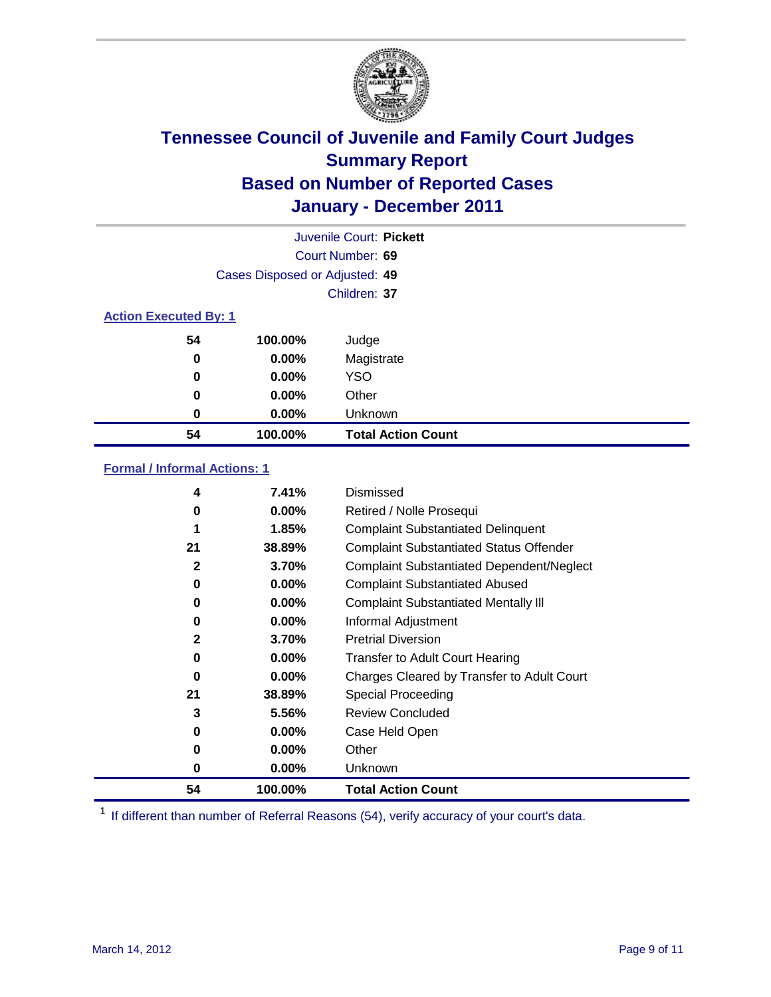

|                              | Juvenile Court: Pickett        |                           |  |  |  |
|------------------------------|--------------------------------|---------------------------|--|--|--|
|                              | Court Number: 69               |                           |  |  |  |
|                              | Cases Disposed or Adjusted: 49 |                           |  |  |  |
|                              | Children: 37                   |                           |  |  |  |
| <b>Action Executed By: 1</b> |                                |                           |  |  |  |
| 54                           | 100.00%                        | Judge                     |  |  |  |
| 0                            | $0.00\%$                       | Magistrate                |  |  |  |
| $\bf{0}$                     | 0.00%                          | <b>YSO</b>                |  |  |  |
| 0                            | 0.00%                          | Other                     |  |  |  |
| 0                            | 0.00%                          | Unknown                   |  |  |  |
| 54                           | 100.00%                        | <b>Total Action Count</b> |  |  |  |

### **Formal / Informal Actions: 1**

| 4  | 7.41%    | Dismissed                                        |
|----|----------|--------------------------------------------------|
| 0  | $0.00\%$ | Retired / Nolle Prosequi                         |
|    | 1.85%    | <b>Complaint Substantiated Delinquent</b>        |
| 21 | 38.89%   | <b>Complaint Substantiated Status Offender</b>   |
| 2  | 3.70%    | <b>Complaint Substantiated Dependent/Neglect</b> |
| 0  | $0.00\%$ | <b>Complaint Substantiated Abused</b>            |
| 0  | $0.00\%$ | <b>Complaint Substantiated Mentally III</b>      |
| 0  | $0.00\%$ | Informal Adjustment                              |
| 2  | 3.70%    | <b>Pretrial Diversion</b>                        |
| 0  | $0.00\%$ | <b>Transfer to Adult Court Hearing</b>           |
| 0  | $0.00\%$ | Charges Cleared by Transfer to Adult Court       |
| 21 | 38.89%   | <b>Special Proceeding</b>                        |
| 3  | 5.56%    | <b>Review Concluded</b>                          |
| 0  | $0.00\%$ | Case Held Open                                   |
| 0  | $0.00\%$ | Other                                            |
| 0  | $0.00\%$ | Unknown                                          |
| 54 | 100.00%  | <b>Total Action Count</b>                        |

<sup>1</sup> If different than number of Referral Reasons (54), verify accuracy of your court's data.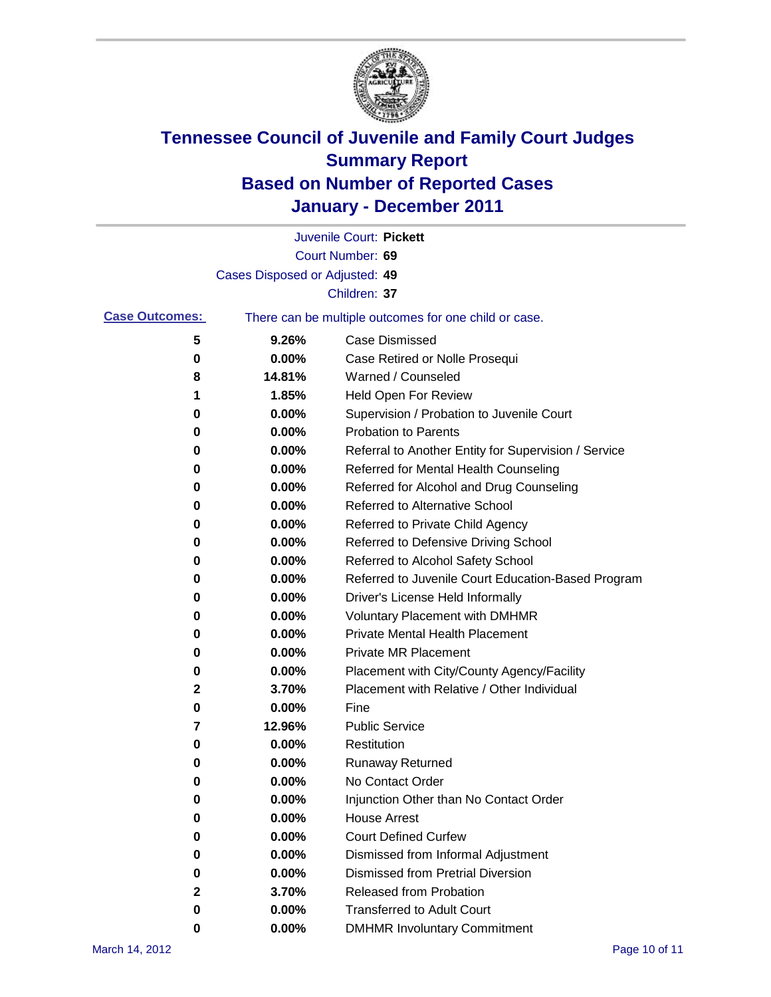

|                       |                                | Juvenile Court: Pickett                               |
|-----------------------|--------------------------------|-------------------------------------------------------|
|                       |                                | Court Number: 69                                      |
|                       | Cases Disposed or Adjusted: 49 |                                                       |
|                       |                                | Children: 37                                          |
| <b>Case Outcomes:</b> |                                | There can be multiple outcomes for one child or case. |
| 5                     | 9.26%                          | <b>Case Dismissed</b>                                 |
| 0                     | 0.00%                          | Case Retired or Nolle Prosequi                        |
| 8                     | 14.81%                         | Warned / Counseled                                    |
| 1                     | 1.85%                          | Held Open For Review                                  |
| 0                     | 0.00%                          | Supervision / Probation to Juvenile Court             |
| 0                     | 0.00%                          | <b>Probation to Parents</b>                           |
| 0                     | 0.00%                          | Referral to Another Entity for Supervision / Service  |
| 0                     | 0.00%                          | Referred for Mental Health Counseling                 |
| 0                     | 0.00%                          | Referred for Alcohol and Drug Counseling              |
| 0                     | 0.00%                          | Referred to Alternative School                        |
| 0                     | 0.00%                          | Referred to Private Child Agency                      |
| 0                     | 0.00%                          | Referred to Defensive Driving School                  |
| 0                     | 0.00%                          | Referred to Alcohol Safety School                     |
| 0                     | 0.00%                          | Referred to Juvenile Court Education-Based Program    |
| 0                     | 0.00%                          | Driver's License Held Informally                      |
| 0                     | 0.00%                          | <b>Voluntary Placement with DMHMR</b>                 |
| 0                     | 0.00%                          | <b>Private Mental Health Placement</b>                |
| 0                     | 0.00%                          | <b>Private MR Placement</b>                           |
| 0                     | 0.00%                          | Placement with City/County Agency/Facility            |
| 2                     | 3.70%                          | Placement with Relative / Other Individual            |
| 0                     | 0.00%                          | Fine                                                  |
| 7                     | 12.96%                         | <b>Public Service</b>                                 |
| 0                     | 0.00%                          | Restitution                                           |
| 0                     | 0.00%                          | <b>Runaway Returned</b>                               |
| 0                     | 0.00%                          | No Contact Order                                      |
| 0                     | 0.00%                          | Injunction Other than No Contact Order                |
| 0                     | 0.00%                          | <b>House Arrest</b>                                   |
| 0                     | 0.00%                          | <b>Court Defined Curfew</b>                           |
| 0                     | 0.00%                          | Dismissed from Informal Adjustment                    |
| 0                     | $0.00\%$                       | <b>Dismissed from Pretrial Diversion</b>              |
| 2                     | 3.70%                          | Released from Probation                               |
| 0                     | $0.00\%$                       | <b>Transferred to Adult Court</b>                     |
| 0                     | 0.00%                          | <b>DMHMR Involuntary Commitment</b>                   |